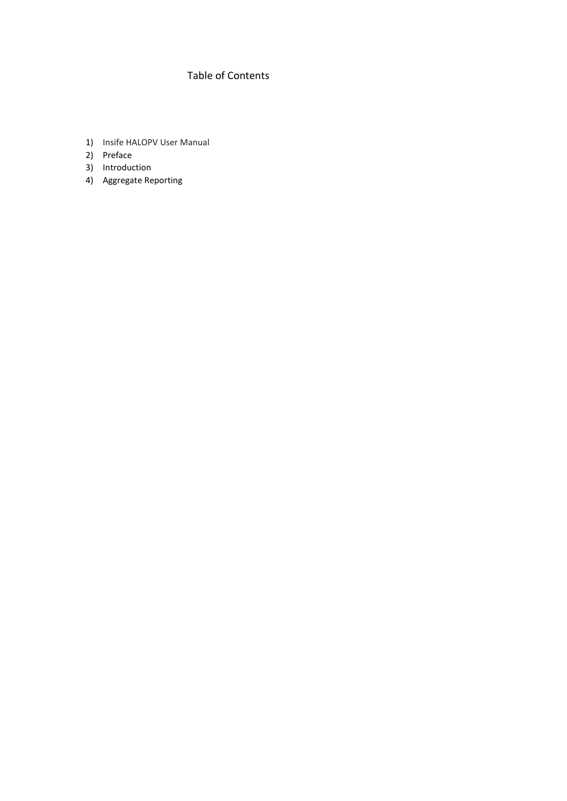# Table of Contents

- 1) Insife HALOPV User Manual
- 2) Preface
- 3) Introduction
- 4) Aggregate Reporting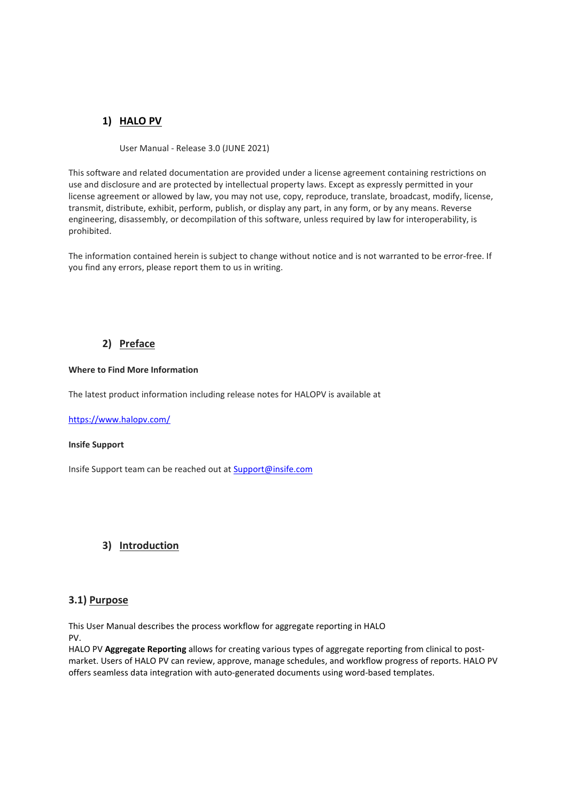## **1) HALO PV**

User Manual - Release 3.0 (JUNE 2021)

This software and related documentation are provided under a license agreement containing restrictions on use and disclosure and are protected by intellectual property laws. Except as expressly permitted in your license agreement or allowed by law, you may not use, copy, reproduce, translate, broadcast, modify, license, transmit, distribute, exhibit, perform, publish, or display any part, in any form, or by any means. Reverse engineering, disassembly, or decompilation of this software, unless required by law for interoperability, is prohibited.

The information contained herein is subject to change without notice and is not warranted to be error-free. If you find any errors, please report them to us in writing.

## **2) Preface**

### **Where to Find More Information**

The latest product information including release notes for HALOPV is available at

<https://www.halopv.com/>

#### **Insife Support**

Insife Support team can be reached out at [Support@insife.com](mailto:Support@insife.com)

## **3) Introduction**

### **3.1) Purpose**

This User Manual describes the process workflow for aggregate reporting in HALO PV.

HALO PV **Aggregate Reporting** allows for creating various types of aggregate reporting from clinical to postmarket. Users of HALO PV can review, approve, manage schedules, and workflow progress of reports. HALO PV offers seamless data integration with auto-generated documents using word-based templates.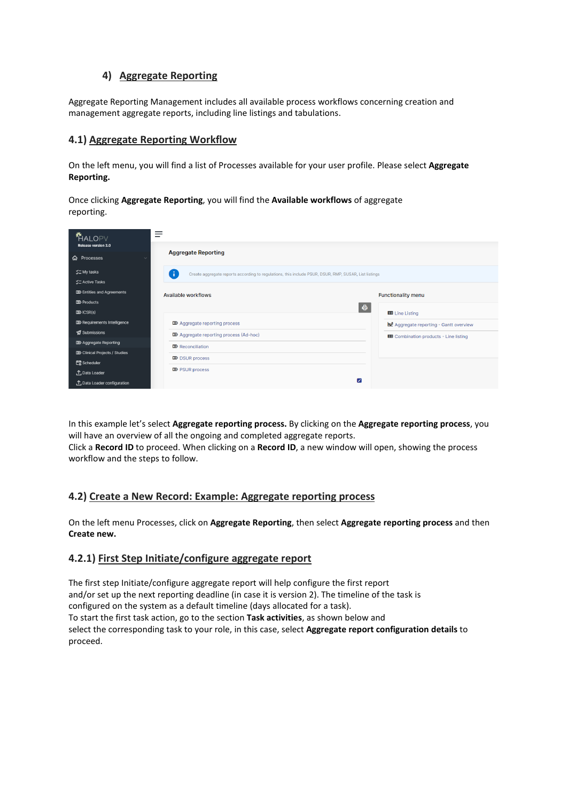## **4) Aggregate Reporting**

Aggregate Reporting Management includes all available process workflows concerning creation and management aggregate reports, including line listings and tabulations.

### **4.1) Aggregate Reporting Workflow**

On the left menu, you will find a list of Processes available for your user profile. Please select **Aggregate Reporting.**

Once clicking **Aggregate Reporting**, you will find the **Available workflows** of aggregate reporting.

| <b>HALOPV</b>                                                   |                                                                                                                |                                                 |
|-----------------------------------------------------------------|----------------------------------------------------------------------------------------------------------------|-------------------------------------------------|
| Release version 3.0<br><b>命</b> Processes                       | <b>Aggregate Reporting</b>                                                                                     |                                                 |
| <b>V</b> ⊂ My tasks<br><b>ジニ Active Tasks</b>                   | ( i )<br>Create aggregate reports according to regulations, this include PSUR, DSUR, RMP, SUSAR, List listings |                                                 |
| <b>DO</b> Entities and Agreements<br>$D\!\!\!\!\Sigma$ Products | Available workflows                                                                                            | <b>Functionality menu</b>                       |
| $D\!\!\!\!\Sigma$ ICSR(s)                                       |                                                                                                                | $\oplus$<br>EB Line Listing                     |
| <b>DO</b> Requirements Intelligence                             | <b>DD</b> Aggregate reporting process                                                                          | <b>DoP</b> Aggregate reporting - Gantt overview |
| Submissions                                                     | <b>DO</b> Aggregate reporting process (Ad-hoc)                                                                 | ED Combination products - Line listing          |
| <b>D</b> Aggregate Reporting                                    | $\mathbf{D}$ Reconciliation                                                                                    |                                                 |
| <b>DD</b> Clinical Projects / Studies                           | $\mathbf{\mathbb{D}}$ DSUR process                                                                             |                                                 |
| de Scheduler                                                    |                                                                                                                |                                                 |
| <b>1</b> Data Loader                                            | $\mathbf{\Sigma}$ PSUR process                                                                                 |                                                 |
| <b>↑</b> Data Loader configuration                              |                                                                                                                | Ø                                               |

In this example let's select **Aggregate reporting process.** By clicking on the **Aggregate reporting process**, you will have an overview of all the ongoing and completed aggregate reports. Click a **Record ID** to proceed. When clicking on a **Record ID**, a new window will open, showing the process workflow and the steps to follow.

## **4.2) Create a New Record: Example: Aggregate reporting process**

On the left menu Processes, click on **Aggregate Reporting**, then select **Aggregate reporting process** and then **Create new.**

### **4.2.1) First Step Initiate/configure aggregate report**

The first step Initiate/configure aggregate report will help configure the first report and/or set up the next reporting deadline (in case it is version 2). The timeline of the task is configured on the system as a default timeline (days allocated for a task). To start the first task action, go to the section **Task activities**, as shown below and select the corresponding task to your role, in this case, select **Aggregate report configuration details** to proceed.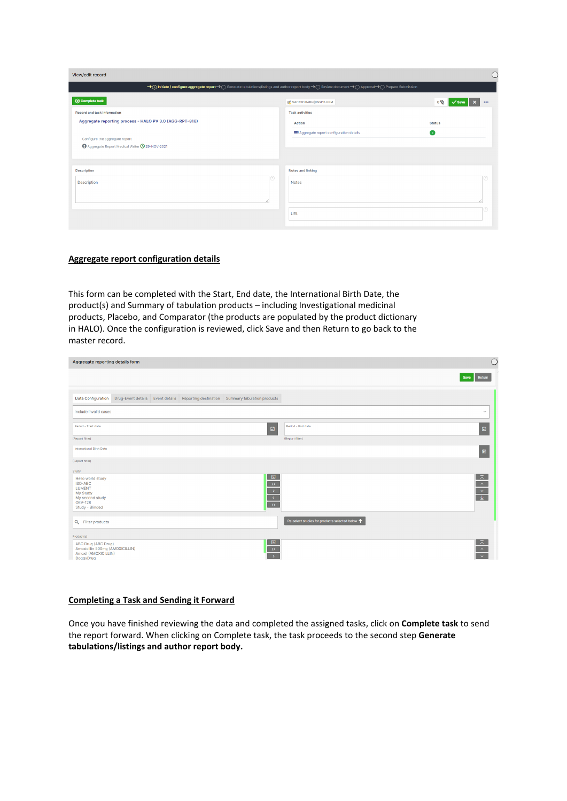| View/edit record                                                                                                                                       |                                        |               |  |
|--------------------------------------------------------------------------------------------------------------------------------------------------------|----------------------------------------|---------------|--|
| → ① Initiate / configure aggregate report→ O Generate tabulations/listings and author report body→ O Review document→ O Approval→ O Prepare Submission |                                        |               |  |
| <b>⊙</b> Complete task                                                                                                                                 | <b>@ MAHESH.BABU@INSIFE.COM</b>        | 0<br>000      |  |
| <b>Record and task information</b>                                                                                                                     | <b>Task activities</b>                 |               |  |
| Aggregate reporting process - HALO PV 3.0 (AGG-RPT-816)                                                                                                | <b>Action</b>                          | <b>Status</b> |  |
| Configure the aggregate report                                                                                                                         | Aggregate report configuration details | $\bullet$     |  |
| Aggregate Report Medical Writer C 29-NOV-2021                                                                                                          |                                        |               |  |
|                                                                                                                                                        |                                        |               |  |
| Description                                                                                                                                            | Notes and linking                      |               |  |
| <b>Description</b>                                                                                                                                     | <b>Notes</b>                           |               |  |
|                                                                                                                                                        |                                        |               |  |
|                                                                                                                                                        |                                        |               |  |
|                                                                                                                                                        | URL                                    |               |  |
|                                                                                                                                                        |                                        |               |  |

### **Aggregate report configuration details**

This form can be completed with the Start, End date, the International Birth Date, the product(s) and Summary of tabulation products – including Investigational medicinal products, Placebo, and Comparator (the products are populated by the product dictionary in HALO). Once the configuration is reviewed, click Save and then Return to go back to the master record.

| Aggregate reporting details form                                                                                                                                                                                                              | C                                                                                                                          |
|-----------------------------------------------------------------------------------------------------------------------------------------------------------------------------------------------------------------------------------------------|----------------------------------------------------------------------------------------------------------------------------|
|                                                                                                                                                                                                                                               | Save<br>Return                                                                                                             |
| Drug-Event details Event details Reporting destination Summary tabulation products<br><b>Data Configuration</b>                                                                                                                               |                                                                                                                            |
| Include invalid cases                                                                                                                                                                                                                         | $\checkmark$                                                                                                               |
| Period - End date<br>Period - Start date<br>$\blacksquare$                                                                                                                                                                                    | 自                                                                                                                          |
| (Report filter)<br>(Report filter)                                                                                                                                                                                                            |                                                                                                                            |
| <b>International Birth Date</b>                                                                                                                                                                                                               | 圖                                                                                                                          |
| (Report filter)                                                                                                                                                                                                                               |                                                                                                                            |
| Study                                                                                                                                                                                                                                         |                                                                                                                            |
| <b>B</b><br>Hello world study<br>$\rightarrow$<br>ISO-ABC<br><b>LUMENT</b><br>$\frac{\rightarrow}{\left\langle \epsilon \right\rangle}$<br>My Study<br>My second study<br><b>OEV-128</b><br>$\langle\langle\langle\langle$<br>Study - Blinded | $\left\vert \begin{array}{c} \left\vert \begin{array}{c} \circ \\ \circ \end{array} \right\vert \end{array} \right\rangle$ |
| Q Filter products                                                                                                                                                                                                                             | Re-select studies for products selected below $\uparrow$                                                                   |
| Product(s)                                                                                                                                                                                                                                    |                                                                                                                            |
| $\boxed{6}$<br>ABC Drug (ABC Drug)<br>$\rightarrow$<br>Amoxicillin 500mg (AMOXICILLIN)<br>Amoxil (AMOXICILLIN)<br>⋾<br>DoggyDrug                                                                                                              | $\frac{1}{\sqrt{2}}$                                                                                                       |

#### **Completing a Task and Sending it Forward**

Once you have finished reviewing the data and completed the assigned tasks, click on **Complete task** to send the report forward. When clicking on Complete task, the task proceeds to the second step **Generate tabulations/listings and author report body.**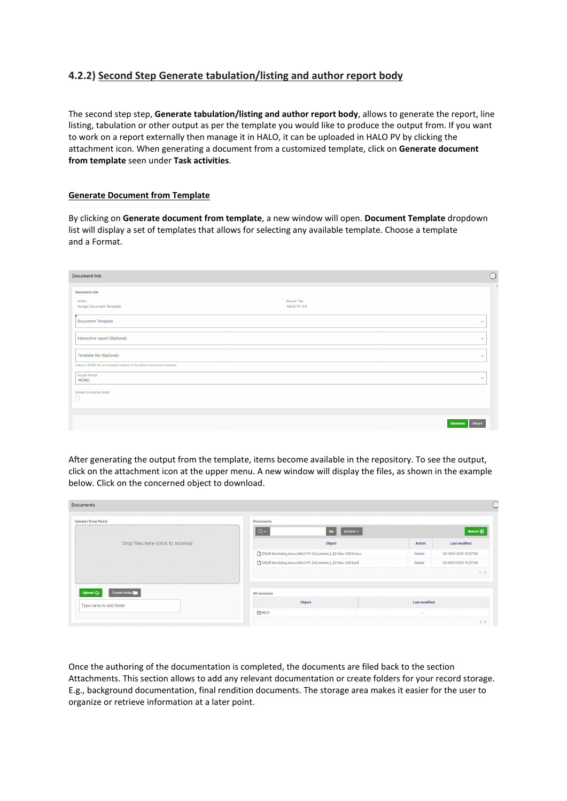## **4.2.2) Second Step Generate tabulation/listing and author report body**

The second step step, **Generate tabulation/listing and author report body**, allows to generate the report, line listing, tabulation or other output as per the template you would like to produce the output from. If you want to work on a report externally then manage it in HALO, it can be uploaded in HALO PV by clicking the attachment icon. When generating a document from a customized template, click on **Generate document from template** seen under **Task activities**.

### **Generate Document from Template**

By clicking on **Generate document from template**, a new window will open. **Document Template** dropdown list will display a set of templates that allows for selecting any available template. Choose a template and a Format.

| <b>Document link</b>                                                    |                             | $\bigcirc$   |
|-------------------------------------------------------------------------|-----------------------------|--------------|
| <b>Document link</b>                                                    |                             |              |
| Action<br>Assign Document Template                                      | Record Title<br>HALO PV 3.0 |              |
| Document Template                                                       |                             | $\checkmark$ |
| Interactive report (Optional)                                           |                             | $\checkmark$ |
| Template file (Optional)                                                |                             | $\checkmark$ |
| Select a WORD file as template instead of the default document template |                             |              |
| Output format<br><b>WORD</b>                                            |                             | $\checkmark$ |
| Upload to working folder<br>П                                           |                             |              |
|                                                                         |                             |              |
|                                                                         | <b>Generate</b>             | Return       |

After generating the output from the template, items become available in the repository. To see the output, click on the attachment icon at the upper menu. A new window will display the files, as shown in the example below. Click on the concerned object to download.

| <b>Documents</b>                               |                                                               |                                |
|------------------------------------------------|---------------------------------------------------------------|--------------------------------|
| Upload / Drop file(s)                          | <b>Documents</b><br>Go<br>$Q \vee$<br>Actions $\smallsmile$   | Return $\mathbf{\in}$          |
| Drop files here (click to browse)              | Object                                                        | <b>Last modified</b><br>Action |
|                                                | DSUR line listing.docx_HALO PV 3.0_version_1_22-Nov-2021.docx | 22-NOV-2021 15:37:53<br>Delete |
|                                                | DSUR line listing.docx_HALO PV 3.0_version_1_22-Nov-2021.pdf  | 22-NOV-2021 15:37:24<br>Delete |
| the first test that they are the first test of |                                                               | $1 - 2$                        |
| Create folder<br>Upload $C_{\mathbf{D}}$       | All revisions                                                 |                                |
| Type name to add folder                        | Object                                                        | <b>Last modified</b>           |
|                                                | <b>EREV1</b>                                                  | $\sim$                         |
|                                                |                                                               | $1 - 1$                        |

Once the authoring of the documentation is completed, the documents are filed back to the section Attachments. This section allows to add any relevant documentation or create folders for your record storage. E.g., background documentation, final rendition documents. The storage area makes it easier for the user to organize or retrieve information at a later point.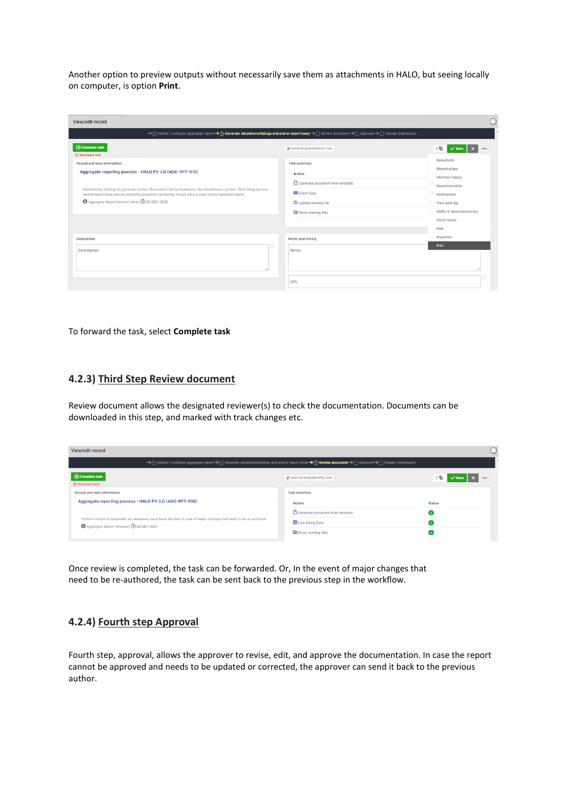Another option to preview outputs without necessarily save them as attachments in HALO, but seeing locally on computer, is option **Print**.

| View/edit record                                                                                                                                                                                                                                                                                                                                                        |                                                                                                                                             |                                                                                                                                                                |
|-------------------------------------------------------------------------------------------------------------------------------------------------------------------------------------------------------------------------------------------------------------------------------------------------------------------------------------------------------------------------|---------------------------------------------------------------------------------------------------------------------------------------------|----------------------------------------------------------------------------------------------------------------------------------------------------------------|
| → Ø Initiate / configure aggregate report→ (i) Generate tabulations/listings and author report body→ (i) Review document→ (i) Approval→ (i) Prepare Submission                                                                                                                                                                                                          |                                                                                                                                             |                                                                                                                                                                |
| <b>⊙</b> Complete task<br>(e) Send back task                                                                                                                                                                                                                                                                                                                            | Of MAHESH.BABU@INSIFE.COM                                                                                                                   | 2<br>$\checkmark$ Save<br>                                                                                                                                     |
| Record and task information<br>Aggregate reporting process - HALO PV 3.0 (AGG-RPT-816)<br>Generate by clicking the generate button. Documents will be loaded into the attachments section. Then integrate into<br>overall report body and do remaining document authoring. Ensure data is clean before generate report.<br>Aggregate Report Medical Writer 325-DEC-2021 | <b>Task activities</b><br>Action<br>Generate document from template<br><b>EB</b> Event Data<br>Co Upload working file<br>Show working files | Record info<br>Record scope<br>Workflow history<br>Record revisions<br>Notifications<br>View audit log<br>Nullify or deactivate record<br>Clone record<br>Help |
| Description                                                                                                                                                                                                                                                                                                                                                             | Notes and linking                                                                                                                           | Keywords                                                                                                                                                       |
| ⊚<br>Description                                                                                                                                                                                                                                                                                                                                                        | Notes                                                                                                                                       | Print                                                                                                                                                          |
|                                                                                                                                                                                                                                                                                                                                                                         | URL                                                                                                                                         |                                                                                                                                                                |

#### To forward the task, select **Complete task**

### **4.2.3) Third Step Review document**

Review document allows the designated reviewer(s) to check the documentation. Documents can be downloaded in this step, and marked with track changes etc.

| View/edit record                                                                                                                                            |                                  |               |  |
|-------------------------------------------------------------------------------------------------------------------------------------------------------------|----------------------------------|---------------|--|
| → Cy Initiate / configure aggregate report→ Cy Generate tabulations/listings and author report body→ C) Review document→ C) Approval→ C) Prepare Submission |                                  |               |  |
| <b>⊙</b> Complete task<br><b>← Send back task</b>                                                                                                           | <b>IZ</b> MAHESH.BABU@INSIFE.COM |               |  |
| <b>Record and task information</b>                                                                                                                          | <b>Task activities</b>           |               |  |
| Aggregate reporting process - HALO PV 3.0 (AGG-RPT-816)                                                                                                     | <b>Action</b>                    | <b>Status</b> |  |
|                                                                                                                                                             | Generate document from template  |               |  |
| Perform review of document. As necessary send back the task in case of major changes that need to be re-authored<br>Aggregate Report Reviewer 914-DEC-2021  | <b>ED</b> Line listing Data      |               |  |
|                                                                                                                                                             | Show working files               |               |  |

Once review is completed, the task can be forwarded. Or, In the event of major changes that need to be re-authored, the task can be sent back to the previous step in the workflow.

### **4.2.4) Fourth step Approval**

Fourth step, approval, allows the approver to revise, edit, and approve the documentation. In case the report cannot be approved and needs to be updated or corrected, the approver can send it back to the previous author.